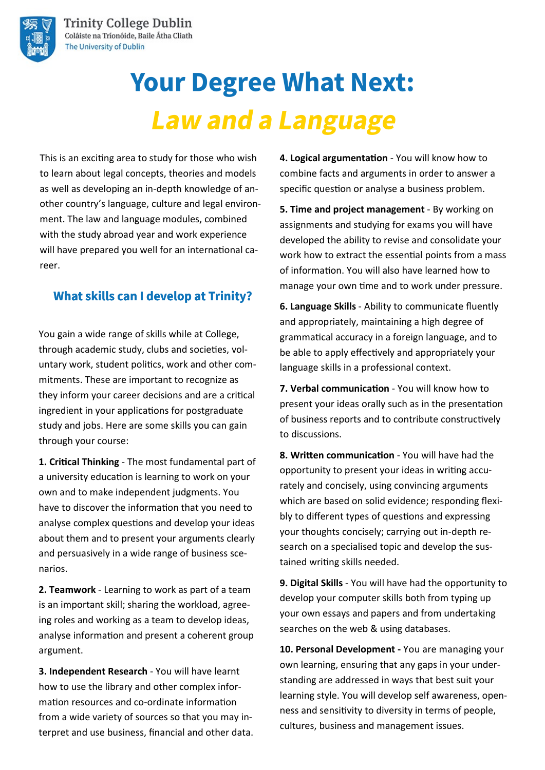

# **Your Degree What Next: Law and a Language**

This is an exciting area to study for those who wish to learn about legal concepts, theories and models as well as developing an in-depth knowledge of another country's language, culture and legal environment. The law and language modules, combined with the study abroad year and work experience will have prepared you well for an international career.

## **What skills can I develop at Trinity?**

You gain a wide range of skills while at College, through academic study, clubs and societies, voluntary work, student politics, work and other commitments. These are important to recognize as they inform your career decisions and are a critical ingredient in your applications for postgraduate study and jobs. Here are some skills you can gain through your course:

**1. Critical Thinking** - The most fundamental part of a university education is learning to work on your own and to make independent judgments. You have to discover the information that you need to analyse complex questions and develop your ideas about them and to present your arguments clearly and persuasively in a wide range of business scenarios.

**2. Teamwork** - Learning to work as part of a team is an important skill; sharing the workload, agreeing roles and working as a team to develop ideas, analyse information and present a coherent group argument.

**3. Independent Research** - You will have learnt how to use the library and other complex information resources and co-ordinate information from a wide variety of sources so that you may interpret and use business, financial and other data. **4. Logical argumentation** - You will know how to combine facts and arguments in order to answer a specific question or analyse a business problem.

**5. Time and project management** - By working on assignments and studying for exams you will have developed the ability to revise and consolidate your work how to extract the essential points from a mass of information. You will also have learned how to manage your own time and to work under pressure.

**6. Language Skills** - Ability to communicate fluently and appropriately, maintaining a high degree of grammatical accuracy in a foreign language, and to be able to apply effectively and appropriately your language skills in a professional context.

**7. Verbal communication** - You will know how to present your ideas orally such as in the presentation of business reports and to contribute constructively to discussions.

**8. Written communication** - You will have had the opportunity to present your ideas in writing accurately and concisely, using convincing arguments which are based on solid evidence; responding flexibly to different types of questions and expressing your thoughts concisely; carrying out in-depth research on a specialised topic and develop the sustained writing skills needed.

**9. Digital Skills** - You will have had the opportunity to develop your computer skills both from typing up your own essays and papers and from undertaking searches on the web & using databases.

**10. Personal Development -** You are managing your own learning, ensuring that any gaps in your understanding are addressed in ways that best suit your learning style. You will develop self awareness, openness and sensitivity to diversity in terms of people, cultures, business and management issues.